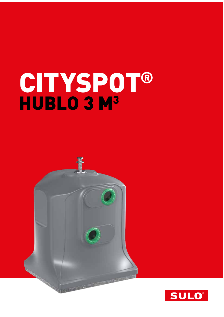# CITYSPOT® HUBLO 3 M<sup>3</sup>

Ŧ

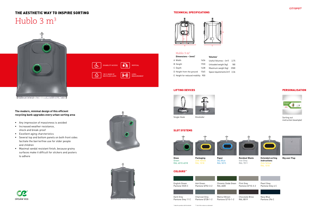

LEVEL MEASUREMENT

VERTICAL

 $\blacktriangleright$ 



#### TECHNICAL SPECIFICATIONS

## THE AESTHETIC WAY TO INSPIRE SORTING Hublo  $3 \text{ m}^3$



**A PARK AND MANUSCRIPT AND ARRIVES** 

| Dimensions $\sim$ (mm) <sup>*</sup> |       | Volumes*                        |      |
|-------------------------------------|-------|---------------------------------|------|
| Width                               | 1636  | Useful Volumes ~ $[m^3]$        | 2.75 |
| <b>B</b> Height                     | 1920  | Unloaded weight (kg)            | 180  |
| C Depth                             | 1438  | Maximum weight (kg)             | 2500 |
| D Height from the ground            | 1565  | Space requirements $[m^2]$ 2,36 |      |
| E Height for reduced mobility       | - 900 |                                 |      |

#### SLOT SYSTEMS







Single Hook Kinshofer



# B



#### Hublo 3 m<sup>3</sup>

#### LIFTING DEVICES

#### PERSONALISATION

Sorting out instruction (example)



**Paper** Sky Blue RAL 5015

COLOURS\*\*

**Glass** Green RAL 6010-6018

Zink Yellow RAL 1018

**Residual Waste** Iron Grey RAL 7011



**Extended sorting instructions** Zink Yellow RAL 1018

**Big user Flap**

Pearl Grey Pantone Grey 6 C

Flint Grey Pantone Q710-3-2



Chocolate Brow RAL 8019

Navy Blue Pantone 296 C

- Any impression of massivness is avoided
- **Increased weather resistance,** shock and break-proof
- Excellent aging charcteristics

JØ

circular eco

- Several top and bottom panels on both front sides faciliate the barrierfree use for older people and children
- Maximal vandal resistant finish, because grainy surfaces make it difficult for stickers and posters to adhere



DISABILITY ACCESS

 $\left( \begin{array}{c} 1 & 100 % \text{MADE OF} \ \text{RECYCLED LLDPE} \end{array} \right)$ 

#### **The modern, minimal design of this efficient recycling bank upgrades every urban sorting area**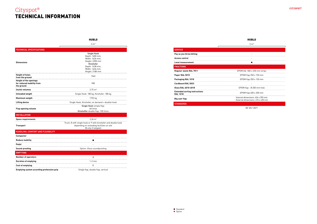

| <b>SERVICE</b>                                          |                                                                        |
|---------------------------------------------------------|------------------------------------------------------------------------|
| Pay as you throw billing                                |                                                                        |
| <b>Access control</b>                                   |                                                                        |
| <b>Level measurement</b>                                |                                                                        |
| <b>FRACTIONS</b>                                        |                                                                        |
| <b>Reqular waste RAL 7011</b>                           | EPDM bib 500 x 230 mm strips                                           |
| Paper RAL 5015                                          | EPDM flap $350 \times 150$ mm                                          |
| Packaging RAL 1018                                      | EPDM flap $350 \times 150$ mm                                          |
| <b>Cardboard RAL 5023</b>                               |                                                                        |
| Glass RAL 6010-6018                                     | EPDM flap - Ø 200 mm hole                                              |
| <b>Extended sorting instructions</b><br><b>RAL 1018</b> | EPDM flap 400 x 200 mm                                                 |
| Big user flap                                           | Internal dimensions: 426 x 355 mm<br>External dimensions: 476 x 430 mm |
| <b>STANDARDS</b>                                        |                                                                        |

NF EN 13071

### Cityspot® TECHNICAL INFORMATION



HUBLO

|                                                                          | 3 m <sup>3</sup>                                                                                                                                  |  |
|--------------------------------------------------------------------------|---------------------------------------------------------------------------------------------------------------------------------------------------|--|
| <b>TECHNICAL SPECIFICATIONS</b>                                          |                                                                                                                                                   |  |
| <b>Dimensions</b>                                                        | <b>Single Hook</b><br>Depth: 1600 mm,<br>Width: 1636 mm.<br>Height: 2200 mm<br>Kinshofer<br>Depth: 1438 mm.<br>Width: 1636 mm.<br>Height: 2180 mm |  |
| <b>Height of holes</b><br>from the ground                                | 1565                                                                                                                                              |  |
| <b>Height of the openings</b><br>for reduced mobility from<br>the ground | 900                                                                                                                                               |  |
| Useful volumes                                                           | $2,75 \text{ m}^3$                                                                                                                                |  |
| <b>Unloaded weigth</b>                                                   | Single Hook: 180 kg, Kinshofer: 180 kg                                                                                                            |  |
| Maximum weigth                                                           | 1755 kg                                                                                                                                           |  |
| <b>Lifting device</b>                                                    | Single Hook, Kinshofer, on demand = doublie hook                                                                                                  |  |
| <b>Flap opening volume</b>                                               | Single Hook simple flap:<br>60 litres<br>Kinshoffer double flap: 100 litres                                                                       |  |
| <b>INSTALLATION</b>                                                      |                                                                                                                                                   |  |
| <b>Space requirements</b>                                                | $2.36 \text{ m}^2$                                                                                                                                |  |
| <b>Transport</b>                                                         | Truck: 8 with single hook or 9 with kinshofer and double hook<br>depending on unloading facilities on site<br>(8 only if tailgate)                |  |
| HANDLING, COMFORT AND FLEXIBILITY                                        |                                                                                                                                                   |  |
| Compactor                                                                | $\overline{a}$                                                                                                                                    |  |
| <b>Reduce mobility</b>                                                   | п                                                                                                                                                 |  |
| Pedal                                                                    |                                                                                                                                                   |  |
| Sound-proofing                                                           | Option: Glass soundproofing                                                                                                                       |  |
| <b>EMPTYING</b>                                                          |                                                                                                                                                   |  |
| <b>Number of operators</b>                                               | ٠                                                                                                                                                 |  |
| <b>Duration of emptying</b>                                              | $1-2$ min                                                                                                                                         |  |
| <b>Cost of emptying</b>                                                  | €                                                                                                                                                 |  |
| <b>Emptying system according prehension grip</b>                         | Single flap, double flap, vertical                                                                                                                |  |